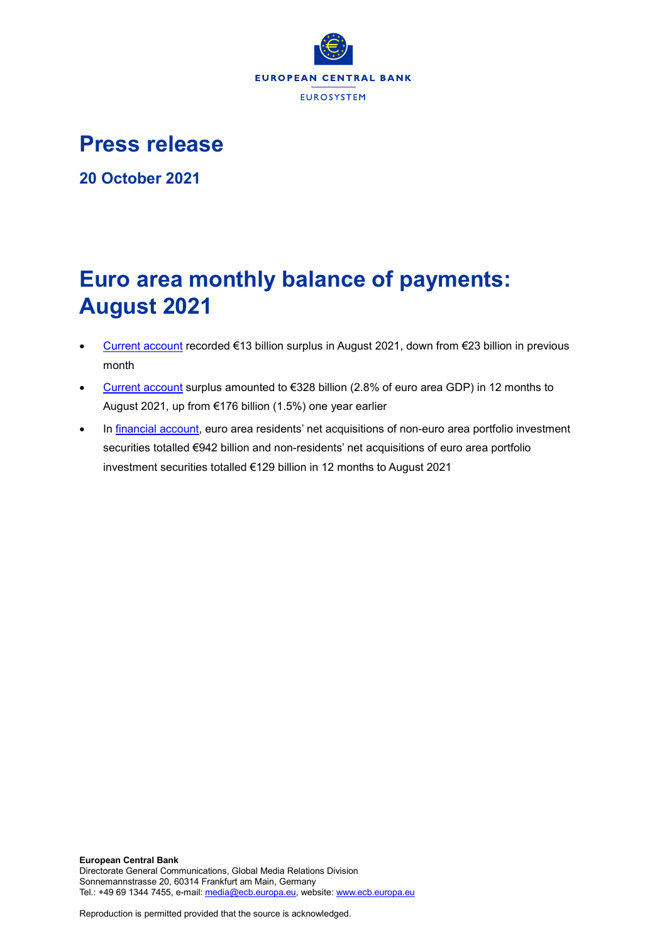

**Press release**

**20 October 2021**

# **Euro area monthly balance of payments: August 2021**

- [Current account](http://sdw.ecb.europa.eu/browseSelection.do?df=true&ec=&dc=&oc=&pb=&rc=&dataSET=0&removeItem=D&removedItemList=&mergeFilter=&activeTab=BP6&showHide=&FREQ.243=M&ADJUSTMENT.243=Y&REF_AREA.243=I8&ACCOUNTING_ENTRY.243=B&INT_ACC_ITEM.243=CA&node=9688874&legendRef=reference) recorded €13 billion surplus in August 2021, down from €23 billion in previous month
- [Current account](http://sdw.ecb.europa.eu/browseSelection.do?df=true&ec=&dc=&oc=&pb=&rc=&dataSET=0&removeItem=D&removedItemList=&mergeFilter=&activeTab=BP6&showHide=&FREQ.243=M&ADJUSTMENT.243=Y&REF_AREA.243=I8&ACCOUNTING_ENTRY.243=B&INT_ACC_ITEM.243=CA&node=9688874&legendRef=reference) surplus amounted to €328 billion (2.8% of euro area GDP) in 12 months to August 2021, up from €176 billion (1.5%) one year earlier
- In [financial account,](http://sdw.ecb.europa.eu/browseSelection.do?type=series&q=BP6.M.N.I8.W1.S1.S1.T.N.FA._T.F._Z.EUR._T._X.N+BP6.M.N.I8.W1.S1.S1.T.A.FA.P.F._Z.EUR._T.M.N+BP6.M.N.I8.W1.S1.S1.T.L.FA.P.F._Z.EUR._T.M.N&node=SEARCHRESULTS&ec=&oc=&rc=&cv=&pb=&dc=&df=) euro area residents' net acquisitions of non-euro area portfolio investment securities totalled €942 billion and non-residents' net acquisitions of euro area portfolio investment securities totalled €129 billion in 12 months to August 2021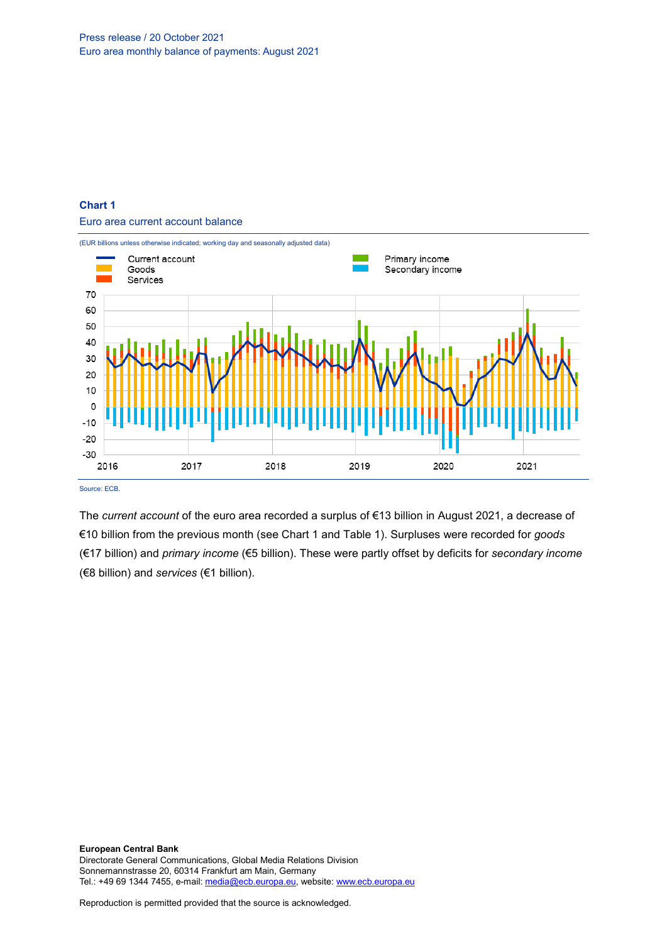

Euro area current account balance



Source: ECB.

The *current account* of the euro area recorded a surplus of €13 billion in August 2021, a decrease of €10 billion from the previous month (see Chart 1 and Table 1). Surpluses were recorded for *goods* (€17 billion) and *primary income* (€5 billion). These were partly offset by deficits for *secondary income* (€8 billion) and *services* (€1 billion).

**European Central Bank** Directorate General Communications, Global Media Relations Division Sonnemannstrasse 20, 60314 Frankfurt am Main, Germany Tel.: +49 69 1344 7455, e-mail[: media@ecb.europa.eu,](mailto:media@ecb.europa.eu) website[: www.ecb.europa.eu](http://www.ecb.europa.eu/)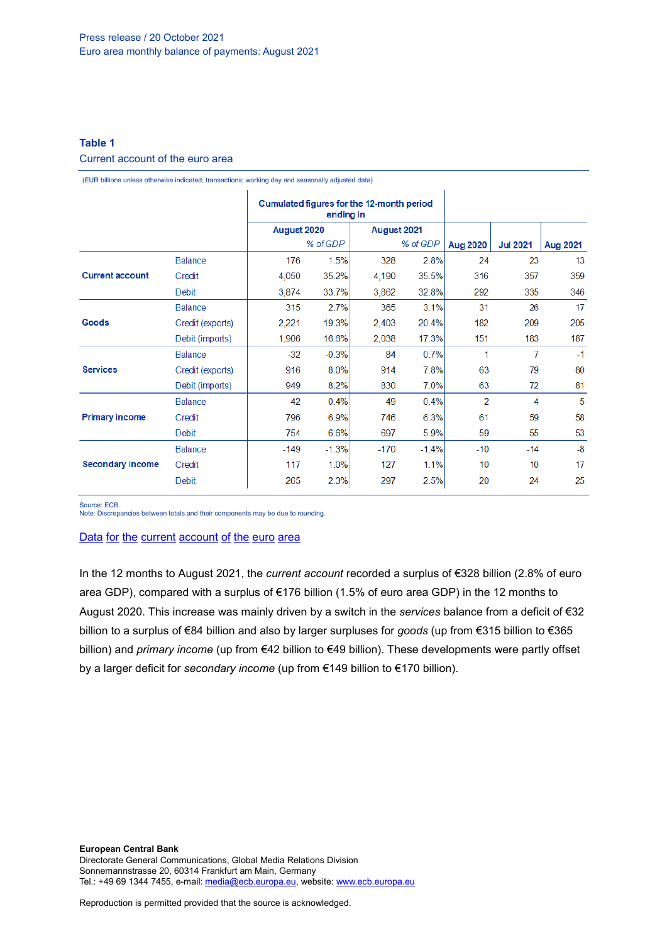# **Table 1**

# Current account of the euro area

(EUR billions unless otherwise indicated; transactions; working day and seasonally adjusted data)

|                                 |                  | Cumulated figures for the 12-month period<br>ending in |         |             |         |                          |                 |                 |
|---------------------------------|------------------|--------------------------------------------------------|---------|-------------|---------|--------------------------|-----------------|-----------------|
|                                 |                  | August 2020                                            |         | August 2021 |         |                          |                 |                 |
|                                 |                  | % of GDP                                               |         | % of GDP    |         | <b>Aug 2020</b>          | <b>Jul 2021</b> | <b>Aug 2021</b> |
|                                 | <b>Balance</b>   | 176                                                    | 1.5%    | 328         | 2.8%    | 24                       | 23              | 13              |
| <b>Current account</b><br>Goods | Credit           | 4,050                                                  | 35.2%   | 4,190       | 35.5%   | 316                      | 357             | 359             |
|                                 | Debit            | 3,874                                                  | 33.7%   | 3.862       | 32.8%   | 292                      | 335             | 346             |
|                                 | <b>Balance</b>   | 315                                                    | 2.7%    | 365         | 3.1%    | 31                       | 26              | 17              |
|                                 | Credit (exports) | 2,221                                                  | 19.3%   | 2,403       | 20.4%   | 182                      | 209             | 205             |
|                                 | Debit (imports)  | 1,906                                                  | 16.6%   | 2,038       | 17.3%   | 151                      | 183             | 187             |
| <b>Services</b>                 | <b>Balance</b>   | $-32$                                                  | $-0.3%$ | 84          | 0.7%    | 1                        | 7               | $-1$            |
|                                 | Credit (exports) | 916                                                    | 8.0%    | 914         | 7.8%    | 63                       | 79              | 80              |
|                                 | Debit (imports)  | 949                                                    | 8.2%    | 830         | 7.0%    | 63                       | 72              | 81              |
| <b>Primary income</b>           | <b>Balance</b>   | 42                                                     | 0.4%    | 49          | 0.4%    | $\overline{\phantom{a}}$ | 4               | 5               |
|                                 | Credit           | 796                                                    | 6.9%    | 746         | 6.3%    | 61                       | 59              | 58              |
|                                 | Debit            | 754                                                    | 6.6%    | 697         | 5.9%    | 59                       | 55              | 53              |
| <b>Secondary income</b>         | <b>Balance</b>   | $-149$                                                 | $-1.3%$ | $-170$      | $-1.4%$ | $-10$                    | $-14$           | $-8$            |
|                                 | Credit           | 117                                                    | 1.0%    | 127         | 1.1%    | 10                       | 10              | 17              |
|                                 | <b>Debit</b>     | 265                                                    | 2.3%    | 297         | 2.5%    | 20                       | 24              | 25              |

Source: ECB.

Note: Discrepancies between totals and their components may be due to rounding.

#### Data for the current [account](http://sdw.ecb.europa.eu/browseSelection.do?df=true&ec=&dc=&oc=&pb=&rc=&DATASET=0&removeItem=&removedItemList=&mergeFilter=&activeTab=&showHide=&FREQ.243=M&ADJUSTMENT.243=Y&REF_AREA.243=I8&ACCOUNTING_ENTRY.243=B&ACCOUNTING_ENTRY.243=C&ACCOUNTING_ENTRY.243=D&INT_ACC_ITEM.243=CA&INT_ACC_ITEM.243=G&INT_ACC_ITEM.243=IN1&INT_ACC_ITEM.243=IN2&INT_ACC_ITEM.243=S&node=9688874&legendRef=reference&legendNor=) of the euro area

In the 12 months to August 2021, the *current account* recorded a surplus of €328 billion (2.8% of euro area GDP), compared with a surplus of €176 billion (1.5% of euro area GDP) in the 12 months to August 2020. This increase was mainly driven by a switch in the *services* balance from a deficit of €32 billion to a surplus of €84 billion and also by larger surpluses for *goods* (up from €315 billion to €365 billion) and *primary income* (up from €42 billion to €49 billion). These developments were partly offset by a larger deficit for *secondary income* (up from €149 billion to €170 billion).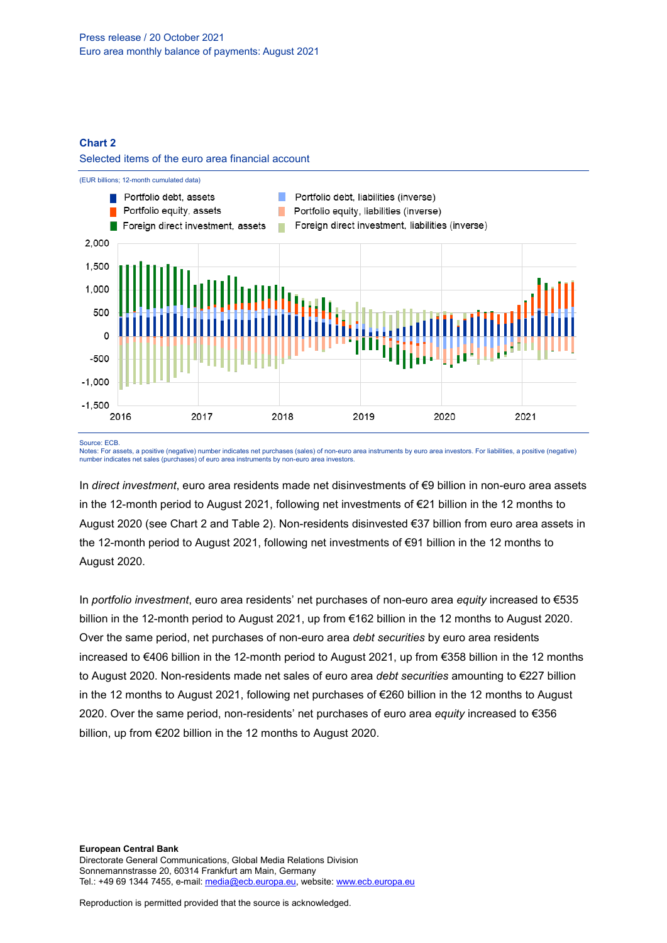#### **Chart 2**





Source: ECB.

Notes: For assets, a positive (negative) number indicates net purchases (sales) of non-euro area instruments by euro area investors. For liabilities, a positive (negative) number indicates net sales (purchases) of euro area instruments by non-euro area investors.

In *direct investment*, euro area residents made net disinvestments of €9 billion in non-euro area assets in the 12-month period to August 2021, following net investments of €21 billion in the 12 months to August 2020 (see Chart 2 and Table 2). Non-residents disinvested €37 billion from euro area assets in the 12-month period to August 2021, following net investments of €91 billion in the 12 months to August 2020.

In *portfolio investment*, euro area residents' net purchases of non-euro area *equity* increased to €535 billion in the 12-month period to August 2021, up from €162 billion in the 12 months to August 2020. Over the same period, net purchases of non-euro area *debt securities* by euro area residents increased to €406 billion in the 12-month period to August 2021, up from €358 billion in the 12 months to August 2020. Non-residents made net sales of euro area *debt securities* amounting to €227 billion in the 12 months to August 2021, following net purchases of €260 billion in the 12 months to August 2020. Over the same period, non-residents' net purchases of euro area *equity* increased to €356 billion, up from €202 billion in the 12 months to August 2020.

**European Central Bank** Directorate General Communications, Global Media Relations Division Sonnemannstrasse 20, 60314 Frankfurt am Main, Germany Tel.: +49 69 1344 7455, e-mail[: media@ecb.europa.eu,](mailto:media@ecb.europa.eu) website[: www.ecb.europa.eu](http://www.ecb.europa.eu/)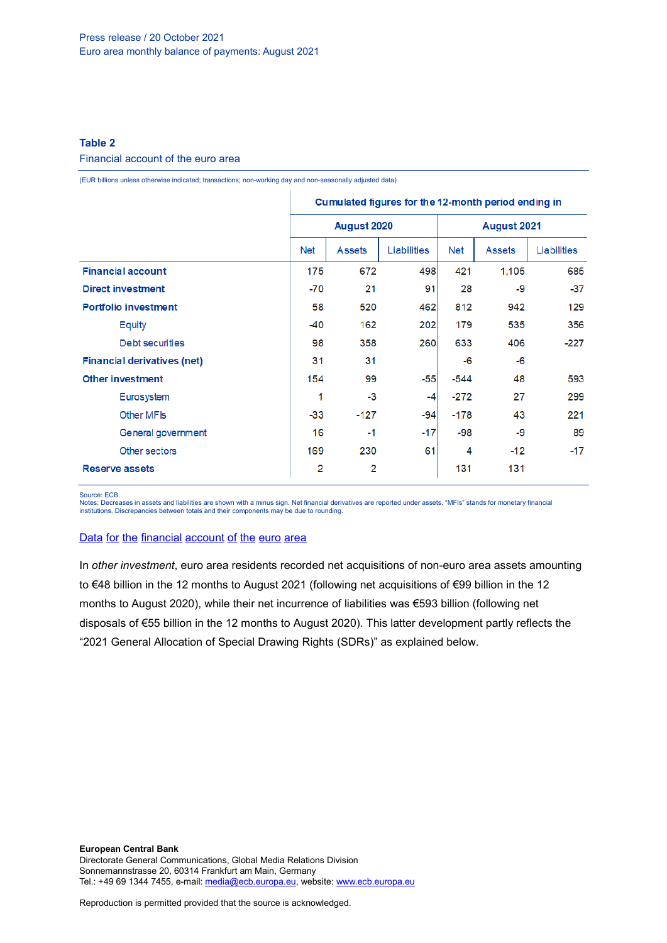# **Table 2**

#### Financial account of the euro area

(EUR billions unless otherwise indicated; transactions; non-working day and non-seasonally adjusted data)

|                                    | Cumulated figures for the 12-month period ending in |               |             |             |               |             |  |
|------------------------------------|-----------------------------------------------------|---------------|-------------|-------------|---------------|-------------|--|
|                                    |                                                     | August 2020   |             | August 2021 |               |             |  |
|                                    | Net                                                 | <b>Assets</b> | Liabilities | <b>Net</b>  | <b>Assets</b> | Liabilities |  |
| <b>Financial account</b>           | 175                                                 | 672           | 498         | 421         | 1.105         | 685         |  |
| <b>Direct investment</b>           | -70                                                 | 21            | 91          | 28          | -9            | $-37$       |  |
| <b>Portfolio investment</b>        | 58                                                  | 520           | 462         | 812         | 942           | 129         |  |
| Equity                             | -40                                                 | 162           | 202         | 179         | 535           | 356         |  |
| Debt securities                    | 98                                                  | 358           | 260         | 633         | 406           | $-227$      |  |
| <b>Financial derivatives (net)</b> | 31                                                  | 31            |             | -6          | -6            |             |  |
| <b>Other investment</b>            | 154                                                 | 99            | $-55$       | $-544$      | 48            | 593         |  |
| Eurosystem                         | 1                                                   | $-3$          | $-4$        | $-272$      | 27            | 299         |  |
| <b>Other MFIs</b>                  | $-33$                                               | $-127$        | $-94$       | $-178$      | 43            | 221         |  |
| General government                 | 16                                                  | $-1$          | $-17$       | -98         | -9            | 89          |  |
| Other sectors                      | 169                                                 | 230           | 61          | 4           | $-12$         | $-17$       |  |
| <b>Reserve assets</b>              | 2                                                   | 2             |             | 131         | 131           |             |  |

Source: ECB.

Notes: Decreases in assets and liabilities are shown with a minus sign. Net financial derivatives are reported under assets. "MFIs" stands for monetary financial institutions. Discrepancies between totals and their components may be due to rounding.

## Data for the [financial](http://sdw.ecb.europa.eu/browseSelection.do?df=true&ec=&dc=&oc=&pb=&rc=&DATASET=0&removeItem=&removedItemList=&mergeFilter=&activeTab=&showHide=&FREQ.243=M&REF_AREA.243=I8&REF_SECTOR.243=S1&REF_SECTOR.243=S121&REF_SECTOR.243=S12T&REF_SECTOR.243=S13&REF_SECTOR.243=S1P&COUNTERPART_SECTOR.243=S1&FLOW_STOCK_ENTRY.243=T&ACCOUNTING_ENTRY.243=A&ACCOUNTING_ENTRY.243=L&ACCOUNTING_ENTRY.243=N&FUNCTIONAL_CAT.243=D&FUNCTIONAL_CAT.243=O&FUNCTIONAL_CAT.243=P&FUNCTIONAL_CAT.243=R&INSTR_ASSET.243=F&INSTR_ASSET.243=F3&INSTR_ASSET.243=F5&INSTR_ASSET.243=FL&MATURITY.243=T&MATURITY.243=_Z&node=9688874&legendRef=reference&legendNor=) account of the euro area

In *other investment*, euro area residents recorded net acquisitions of non-euro area assets amounting to €48 billion in the 12 months to August 2021 (following net acquisitions of €99 billion in the 12 months to August 2020), while their net incurrence of liabilities was €593 billion (following net disposals of €55 billion in the 12 months to August 2020). This latter development partly reflects the "2021 General Allocation of Special Drawing Rights (SDRs)" as explained below.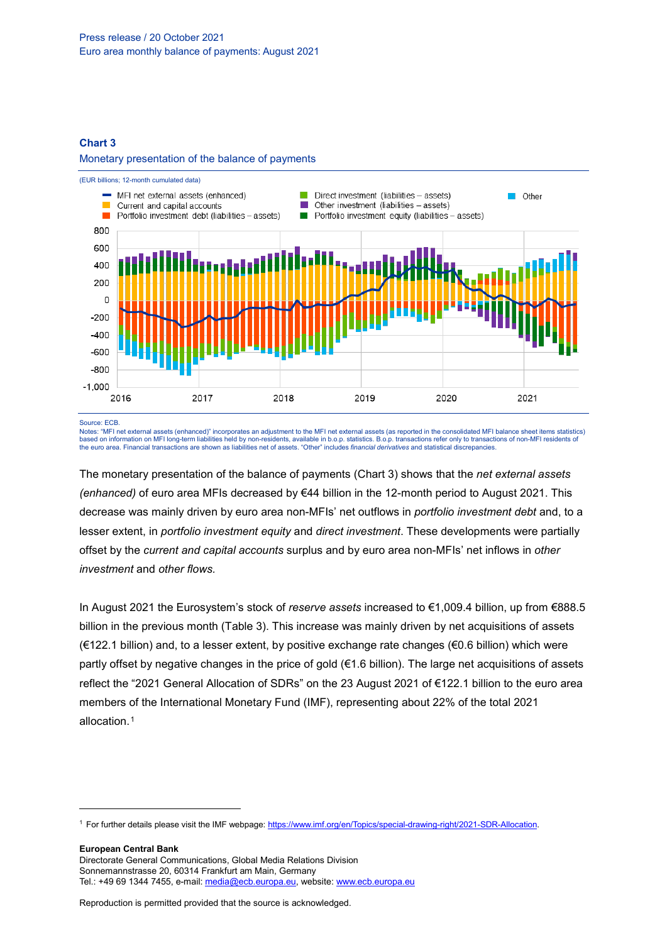#### **Chart 3**

### Monetary presentation of the balance of payments



Source: ECB.

-

Notes: "MFI net external assets (enhanced)" incorporates an adjustment to the MFI net external assets (as reported in the consolidated MFI balance sheet items statistics) based on information on MFI long-term liabilities held by non-residents, available in b.o.p. statistics. B.o.p. transactions refer only to transactions of non-MFI residents of<br>the euro area. Financial transactions are show

The monetary presentation of the balance of payments (Chart 3) shows that the *net external assets (enhanced)* of euro area MFIs decreased by €44 billion in the 12-month period to August 2021. This decrease was mainly driven by euro area non-MFIs' net outflows in *portfolio investment debt* and, to a lesser extent, in *portfolio investment equity* and *direct investment*. These developments were partially offset by the *current and capital accounts* surplus and by euro area non-MFIs' net inflows in *other investment* and *other flows.*

In August 2021 the Eurosystem's stock of *reserve assets* increased to €1,009.4 billion, up from €888.5 billion in the previous month (Table 3). This increase was mainly driven by net acquisitions of assets (€122.1 billion) and, to a lesser extent, by positive exchange rate changes (€0.6 billion) which were partly offset by negative changes in the price of gold (€1.6 billion). The large net acquisitions of assets reflect the "2021 General Allocation of SDRs" on the 23 August 2021 of €122.1 billion to the euro area members of the International Monetary Fund (IMF), representing about 22% of the total 2021 allocation.[1](#page-5-0)

**European Central Bank** Directorate General Communications, Global Media Relations Division Sonnemannstrasse 20, 60314 Frankfurt am Main, Germany

<span id="page-5-0"></span><sup>1</sup> For further details please visit the IMF webpage: [https://www.imf.org/en/Topics/special-drawing-right/2021-SDR-Allocation.](https://www.imf.org/en/Topics/special-drawing-right/2021-SDR-Allocation)

Tel.: +49 69 1344 7455, e-mail[: media@ecb.europa.eu,](mailto:media@ecb.europa.eu) website[: www.ecb.europa.eu](http://www.ecb.europa.eu/)